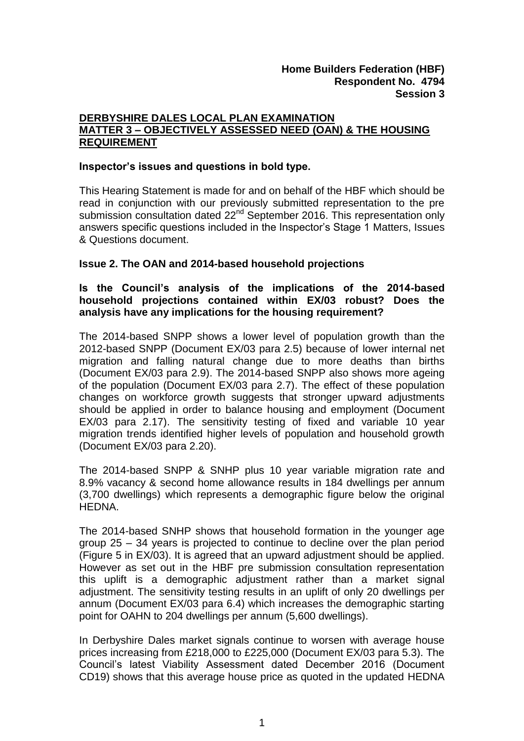# **DERBYSHIRE DALES LOCAL PLAN EXAMINATION MATTER 3 – OBJECTIVELY ASSESSED NEED (OAN) & THE HOUSING REQUIREMENT**

## **Inspector's issues and questions in bold type.**

This Hearing Statement is made for and on behalf of the HBF which should be read in conjunction with our previously submitted representation to the pre submission consultation dated 22<sup>nd</sup> September 2016. This representation only answers specific questions included in the Inspector's Stage 1 Matters, Issues & Questions document.

## **Issue 2. The OAN and 2014-based household projections**

# **Is the Council's analysis of the implications of the 2014-based household projections contained within EX/03 robust? Does the analysis have any implications for the housing requirement?**

The 2014-based SNPP shows a lower level of population growth than the 2012-based SNPP (Document EX/03 para 2.5) because of lower internal net migration and falling natural change due to more deaths than births (Document EX/03 para 2.9). The 2014-based SNPP also shows more ageing of the population (Document EX/03 para 2.7). The effect of these population changes on workforce growth suggests that stronger upward adjustments should be applied in order to balance housing and employment (Document EX/03 para 2.17). The sensitivity testing of fixed and variable 10 year migration trends identified higher levels of population and household growth (Document EX/03 para 2.20).

The 2014-based SNPP & SNHP plus 10 year variable migration rate and 8.9% vacancy & second home allowance results in 184 dwellings per annum (3,700 dwellings) which represents a demographic figure below the original HEDNA.

The 2014-based SNHP shows that household formation in the younger age group 25 – 34 years is projected to continue to decline over the plan period (Figure 5 in EX/03). It is agreed that an upward adjustment should be applied. However as set out in the HBF pre submission consultation representation this uplift is a demographic adjustment rather than a market signal adjustment. The sensitivity testing results in an uplift of only 20 dwellings per annum (Document EX/03 para 6.4) which increases the demographic starting point for OAHN to 204 dwellings per annum (5,600 dwellings).

In Derbyshire Dales market signals continue to worsen with average house prices increasing from £218,000 to £225,000 (Document EX/03 para 5.3). The Council's latest Viability Assessment dated December 2016 (Document CD19) shows that this average house price as quoted in the updated HEDNA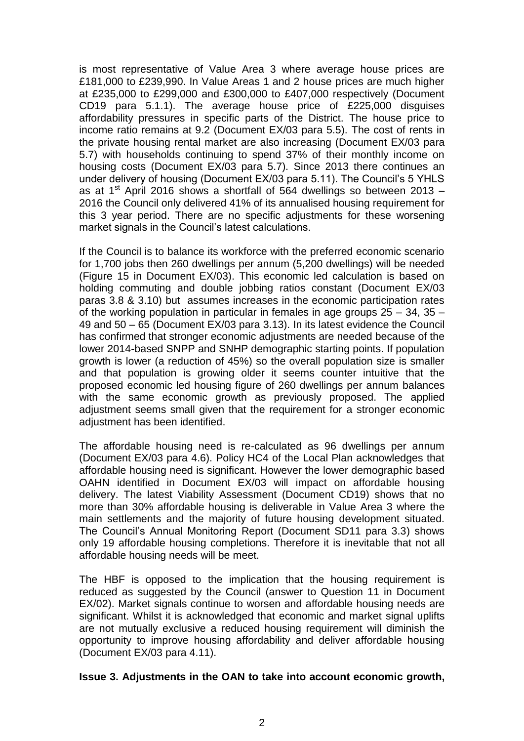is most representative of Value Area 3 where average house prices are £181,000 to £239,990. In Value Areas 1 and 2 house prices are much higher at £235,000 to £299,000 and £300,000 to £407,000 respectively (Document CD19 para 5.1.1). The average house price of £225,000 disguises affordability pressures in specific parts of the District. The house price to income ratio remains at 9.2 (Document EX/03 para 5.5). The cost of rents in the private housing rental market are also increasing (Document EX/03 para 5.7) with households continuing to spend 37% of their monthly income on housing costs (Document EX/03 para 5.7). Since 2013 there continues an under delivery of housing (Document EX/03 para 5.11). The Council's 5 YHLS as at  $1<sup>st</sup>$  April 2016 shows a shortfall of 564 dwellings so between 2013 – 2016 the Council only delivered 41% of its annualised housing requirement for this 3 year period. There are no specific adjustments for these worsening market signals in the Council's latest calculations.

If the Council is to balance its workforce with the preferred economic scenario for 1,700 jobs then 260 dwellings per annum (5,200 dwellings) will be needed (Figure 15 in Document EX/03). This economic led calculation is based on holding commuting and double jobbing ratios constant (Document EX/03 paras 3.8 & 3.10) but assumes increases in the economic participation rates of the working population in particular in females in age groups 25 – 34, 35 – 49 and 50 – 65 (Document EX/03 para 3.13). In its latest evidence the Council has confirmed that stronger economic adjustments are needed because of the lower 2014-based SNPP and SNHP demographic starting points. If population growth is lower (a reduction of 45%) so the overall population size is smaller and that population is growing older it seems counter intuitive that the proposed economic led housing figure of 260 dwellings per annum balances with the same economic growth as previously proposed. The applied adjustment seems small given that the requirement for a stronger economic adjustment has been identified.

The affordable housing need is re-calculated as 96 dwellings per annum (Document EX/03 para 4.6). Policy HC4 of the Local Plan acknowledges that affordable housing need is significant. However the lower demographic based OAHN identified in Document EX/03 will impact on affordable housing delivery. The latest Viability Assessment (Document CD19) shows that no more than 30% affordable housing is deliverable in Value Area 3 where the main settlements and the majority of future housing development situated. The Council's Annual Monitoring Report (Document SD11 para 3.3) shows only 19 affordable housing completions. Therefore it is inevitable that not all affordable housing needs will be meet.

The HBF is opposed to the implication that the housing requirement is reduced as suggested by the Council (answer to Question 11 in Document EX/02). Market signals continue to worsen and affordable housing needs are significant. Whilst it is acknowledged that economic and market signal uplifts are not mutually exclusive a reduced housing requirement will diminish the opportunity to improve housing affordability and deliver affordable housing (Document EX/03 para 4.11).

#### **Issue 3. Adjustments in the OAN to take into account economic growth,**